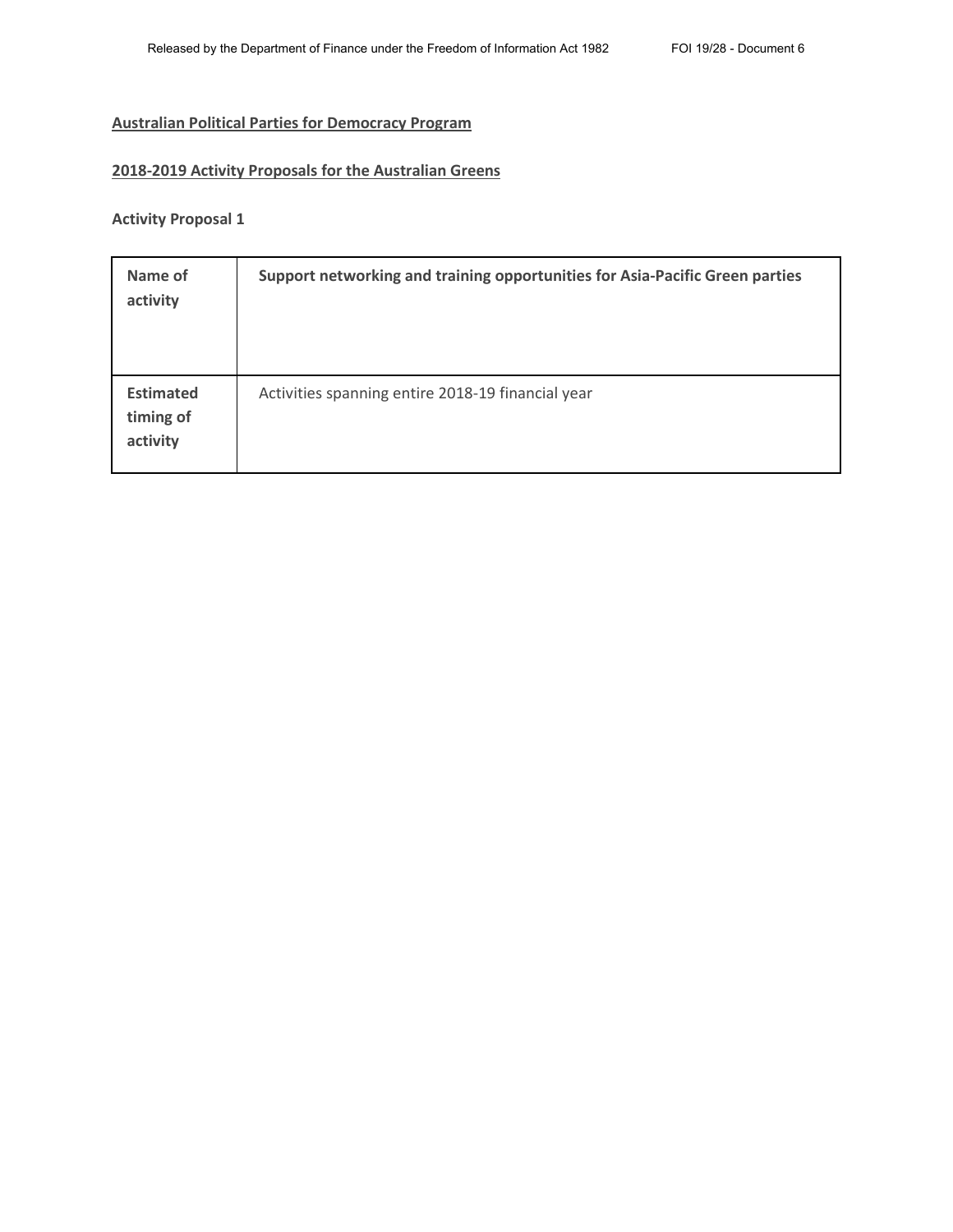# **Australian Political Parties for Democracy Program**

#### **2018-2019 Activity Proposals for the Australian Greens**

**Activity Proposal 1**

| Name of<br>activity                       | Support networking and training opportunities for Asia-Pacific Green parties |
|-------------------------------------------|------------------------------------------------------------------------------|
| <b>Estimated</b><br>timing of<br>activity | Activities spanning entire 2018-19 financial year                            |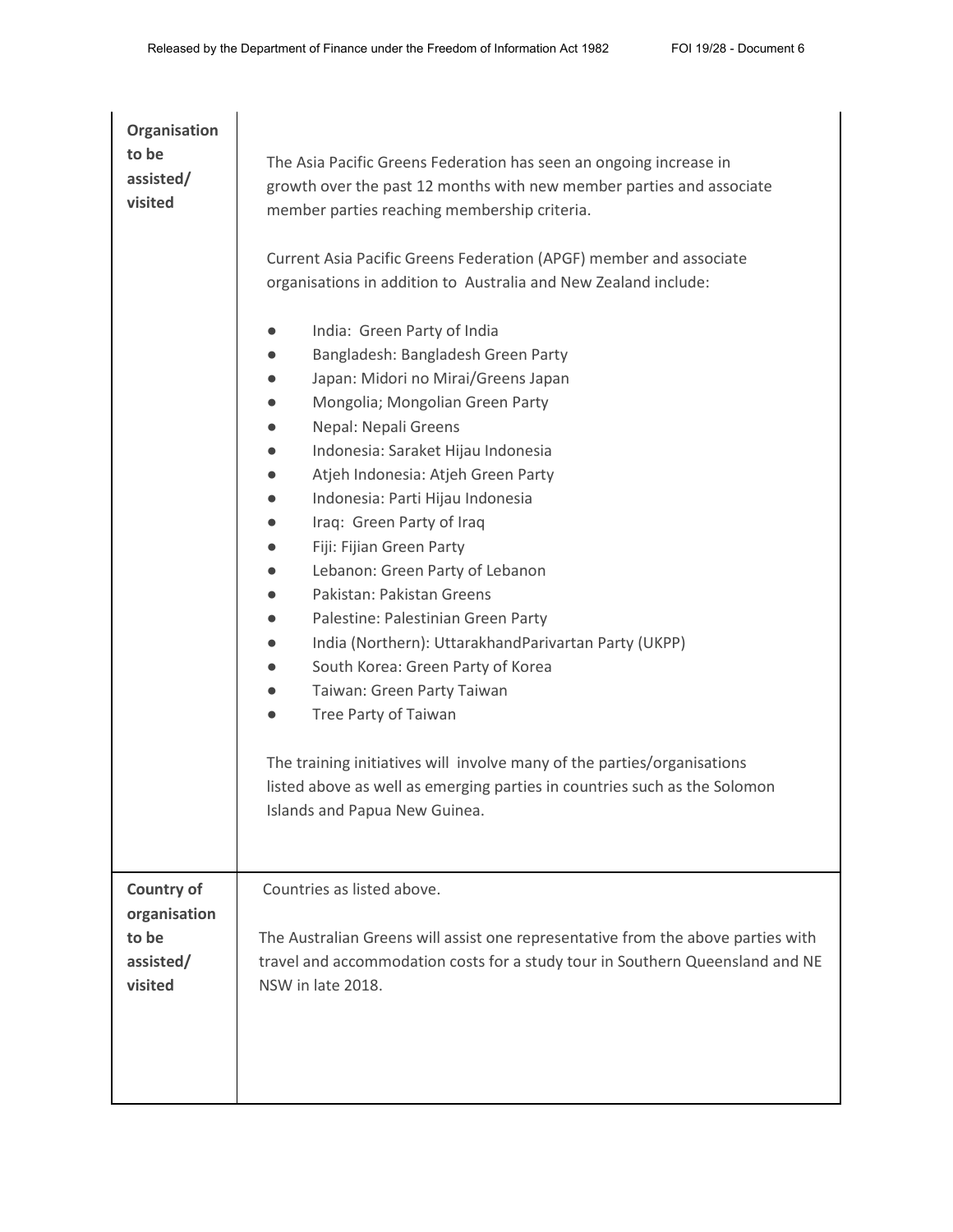| Organisation<br>to be<br>assisted/<br>visited                      | The Asia Pacific Greens Federation has seen an ongoing increase in<br>growth over the past 12 months with new member parties and associate<br>member parties reaching membership criteria.<br>Current Asia Pacific Greens Federation (APGF) member and associate<br>organisations in addition to Australia and New Zealand include:<br>India: Green Party of India<br>Bangladesh: Bangladesh Green Party<br>Japan: Midori no Mirai/Greens Japan<br>Mongolia; Mongolian Green Party<br>Nepal: Nepali Greens<br>Indonesia: Saraket Hijau Indonesia<br>Atjeh Indonesia: Atjeh Green Party<br>Indonesia: Parti Hijau Indonesia<br>Iraq: Green Party of Iraq<br>Fiji: Fijian Green Party<br>Lebanon: Green Party of Lebanon<br>Pakistan: Pakistan Greens<br>Palestine: Palestinian Green Party<br>India (Northern): UttarakhandParivartan Party (UKPP)<br>South Korea: Green Party of Korea<br>Taiwan: Green Party Taiwan<br>Tree Party of Taiwan<br>The training initiatives will involve many of the parties/organisations<br>listed above as well as emerging parties in countries such as the Solomon<br>Islands and Papua New Guinea. |
|--------------------------------------------------------------------|---------------------------------------------------------------------------------------------------------------------------------------------------------------------------------------------------------------------------------------------------------------------------------------------------------------------------------------------------------------------------------------------------------------------------------------------------------------------------------------------------------------------------------------------------------------------------------------------------------------------------------------------------------------------------------------------------------------------------------------------------------------------------------------------------------------------------------------------------------------------------------------------------------------------------------------------------------------------------------------------------------------------------------------------------------------------------------------------------------------------------------------|
| <b>Country of</b><br>organisation<br>to be<br>assisted/<br>visited | Countries as listed above.<br>The Australian Greens will assist one representative from the above parties with<br>travel and accommodation costs for a study tour in Southern Queensland and NE<br>NSW in late 2018.                                                                                                                                                                                                                                                                                                                                                                                                                                                                                                                                                                                                                                                                                                                                                                                                                                                                                                                  |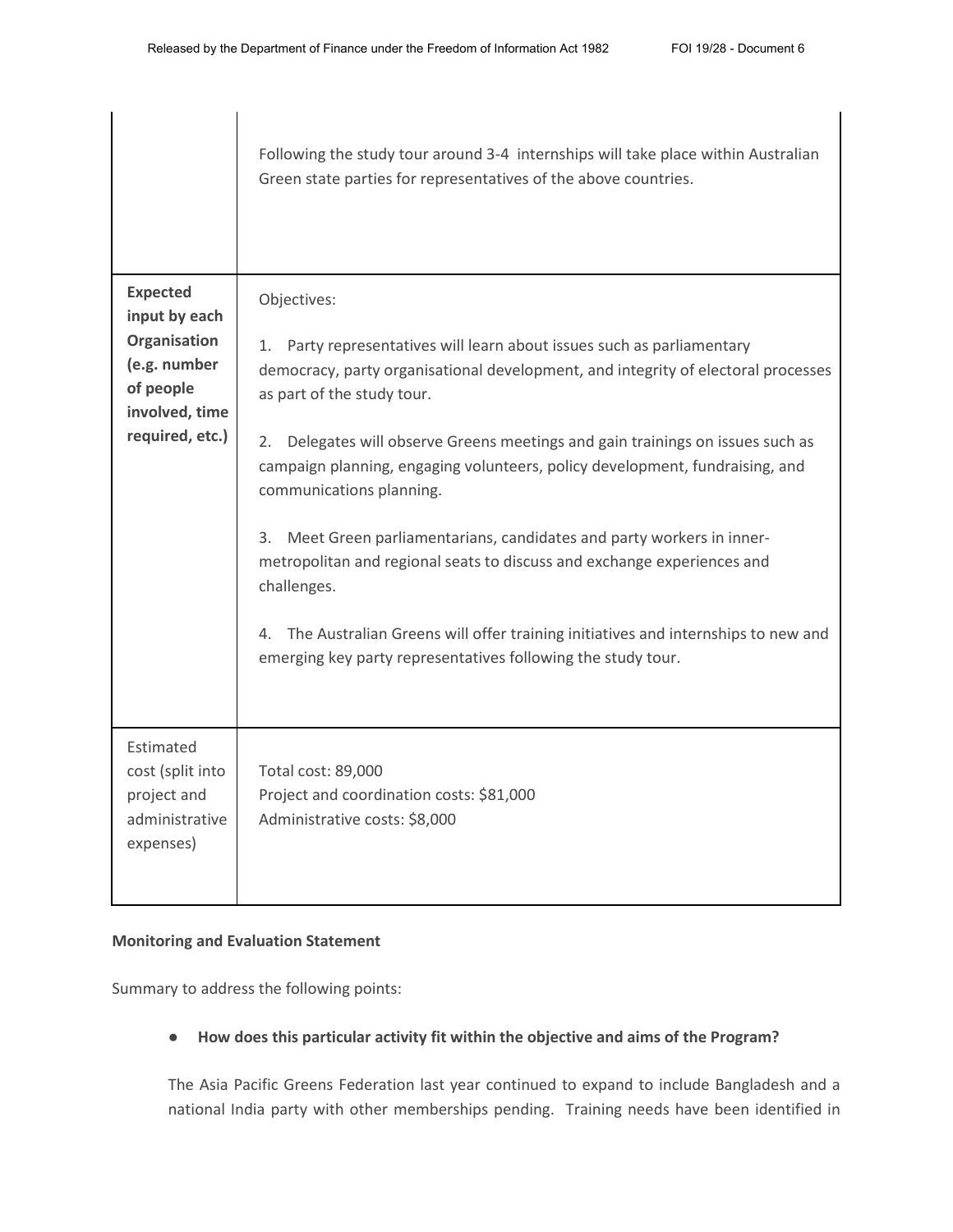|                                                                                                                    | Following the study tour around 3-4 internships will take place within Australian<br>Green state parties for representatives of the above countries.                                                                                                                                                                                                                                                                                                                                                                                                                                                                                                                                                                                       |
|--------------------------------------------------------------------------------------------------------------------|--------------------------------------------------------------------------------------------------------------------------------------------------------------------------------------------------------------------------------------------------------------------------------------------------------------------------------------------------------------------------------------------------------------------------------------------------------------------------------------------------------------------------------------------------------------------------------------------------------------------------------------------------------------------------------------------------------------------------------------------|
| <b>Expected</b><br>input by each<br>Organisation<br>(e.g. number<br>of people<br>involved, time<br>required, etc.) | Objectives:<br>1. Party representatives will learn about issues such as parliamentary<br>democracy, party organisational development, and integrity of electoral processes<br>as part of the study tour.<br>Delegates will observe Greens meetings and gain trainings on issues such as<br>2.<br>campaign planning, engaging volunteers, policy development, fundraising, and<br>communications planning.<br>Meet Green parliamentarians, candidates and party workers in inner-<br>3.<br>metropolitan and regional seats to discuss and exchange experiences and<br>challenges.<br>The Australian Greens will offer training initiatives and internships to new and<br>4.<br>emerging key party representatives following the study tour. |
| Estimated<br>cost (split into<br>project and<br>administrative<br>expenses)                                        | Total cost: 89,000<br>Project and coordination costs: \$81,000<br>Administrative costs: \$8,000                                                                                                                                                                                                                                                                                                                                                                                                                                                                                                                                                                                                                                            |

### **Monitoring and Evaluation Statement**

Summary to address the following points:

### ● **How does this particular activity fit within the objective and aims of the Program?**

The Asia Pacific Greens Federation last year continued to expand to include Bangladesh and a national India party with other memberships pending. Training needs have been identified in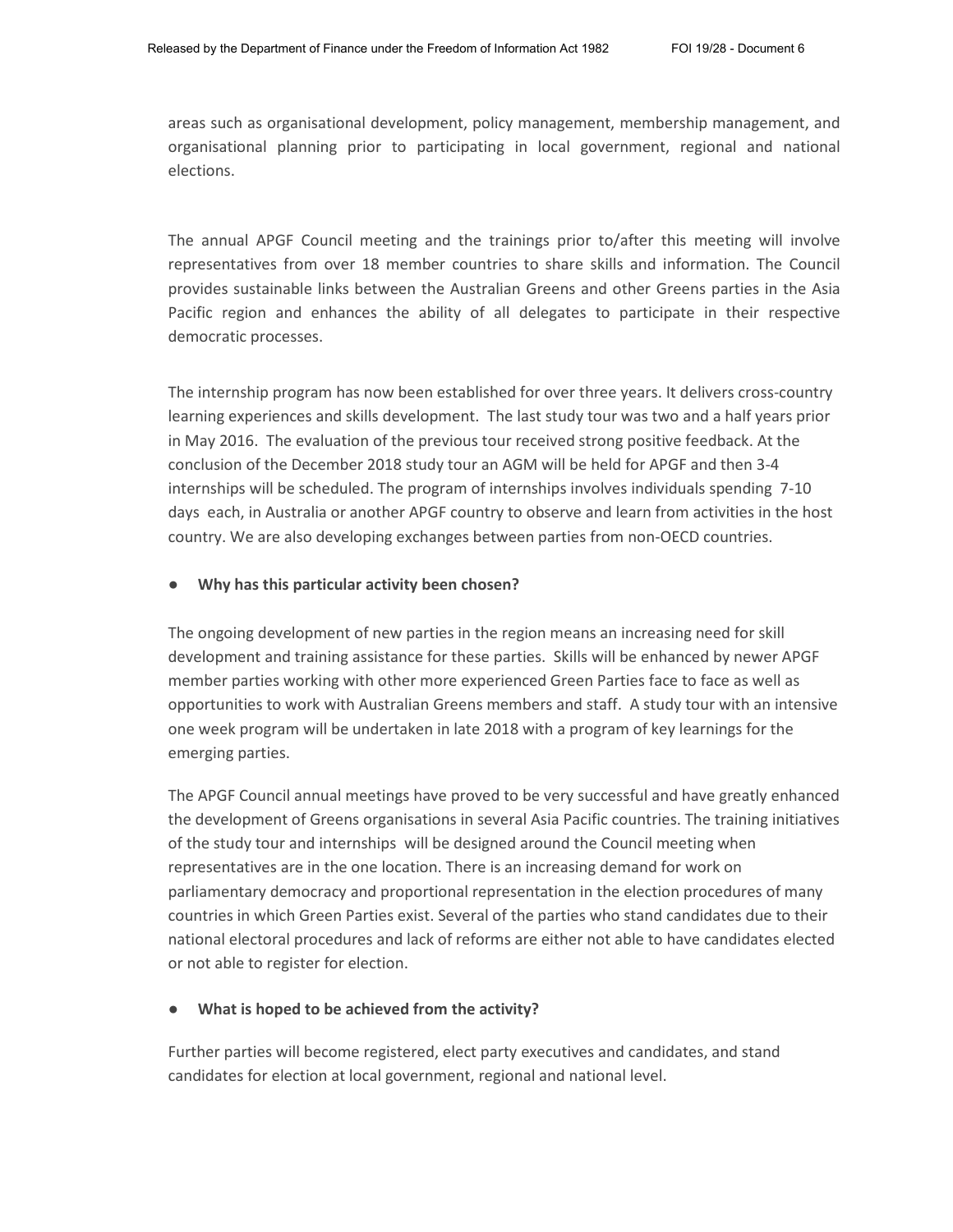areas such as organisational development, policy management, membership management, and organisational planning prior to participating in local government, regional and national elections.

The annual APGF Council meeting and the trainings prior to/after this meeting will involve representatives from over 18 member countries to share skills and information. The Council provides sustainable links between the Australian Greens and other Greens parties in the Asia Pacific region and enhances the ability of all delegates to participate in their respective democratic processes.

The internship program has now been established for over three years. It delivers cross-country learning experiences and skills development. The last study tour was two and a half years prior in May 2016. The evaluation of the previous tour received strong positive feedback. At the conclusion of the December 2018 study tour an AGM will be held for APGF and then 3-4 internships will be scheduled. The program of internships involves individuals spending 7-10 days each, in Australia or another APGF country to observe and learn from activities in the host country. We are also developing exchanges between parties from non-OECD countries.

#### ● **Why has this particular activity been chosen?**

The ongoing development of new parties in the region means an increasing need for skill development and training assistance for these parties. Skills will be enhanced by newer APGF member parties working with other more experienced Green Parties face to face as well as opportunities to work with Australian Greens members and staff. A study tour with an intensive one week program will be undertaken in late 2018 with a program of key learnings for the emerging parties.

The APGF Council annual meetings have proved to be very successful and have greatly enhanced the development of Greens organisations in several Asia Pacific countries. The training initiatives of the study tour and internships will be designed around the Council meeting when representatives are in the one location. There is an increasing demand for work on parliamentary democracy and proportional representation in the election procedures of many countries in which Green Parties exist. Several of the parties who stand candidates due to their national electoral procedures and lack of reforms are either not able to have candidates elected or not able to register for election.

#### What is hoped to be achieved from the activity?

Further parties will become registered, elect party executives and candidates, and stand candidates for election at local government, regional and national level.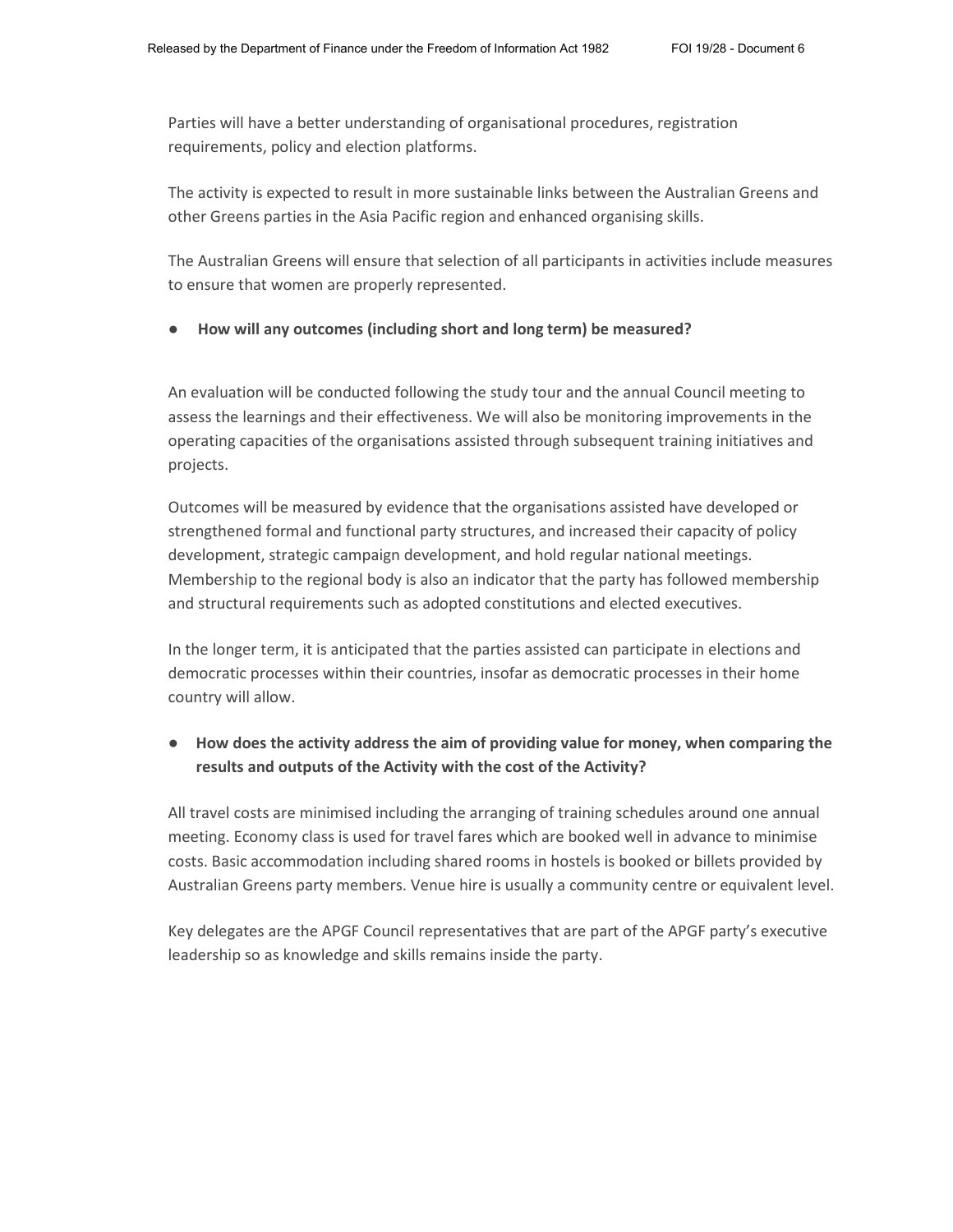Parties will have a better understanding of organisational procedures, registration requirements, policy and election platforms.

The activity is expected to result in more sustainable links between the Australian Greens and other Greens parties in the Asia Pacific region and enhanced organising skills.

The Australian Greens will ensure that selection of all participants in activities include measures to ensure that women are properly represented.

● **How will any outcomes (including short and long term) be measured?**

An evaluation will be conducted following the study tour and the annual Council meeting to assess the learnings and their effectiveness. We will also be monitoring improvements in the operating capacities of the organisations assisted through subsequent training initiatives and projects.

Outcomes will be measured by evidence that the organisations assisted have developed or strengthened formal and functional party structures, and increased their capacity of policy development, strategic campaign development, and hold regular national meetings. Membership to the regional body is also an indicator that the party has followed membership and structural requirements such as adopted constitutions and elected executives.

In the longer term, it is anticipated that the parties assisted can participate in elections and democratic processes within their countries, insofar as democratic processes in their home country will allow.

## ● **How does the activity address the aim of providing value for money, when comparing the results and outputs of the Activity with the cost of the Activity?**

All travel costs are minimised including the arranging of training schedules around one annual meeting. Economy class is used for travel fares which are booked well in advance to minimise costs. Basic accommodation including shared rooms in hostels is booked or billets provided by Australian Greens party members. Venue hire is usually a community centre or equivalent level.

Key delegates are the APGF Council representatives that are part of the APGF party's executive leadership so as knowledge and skills remains inside the party.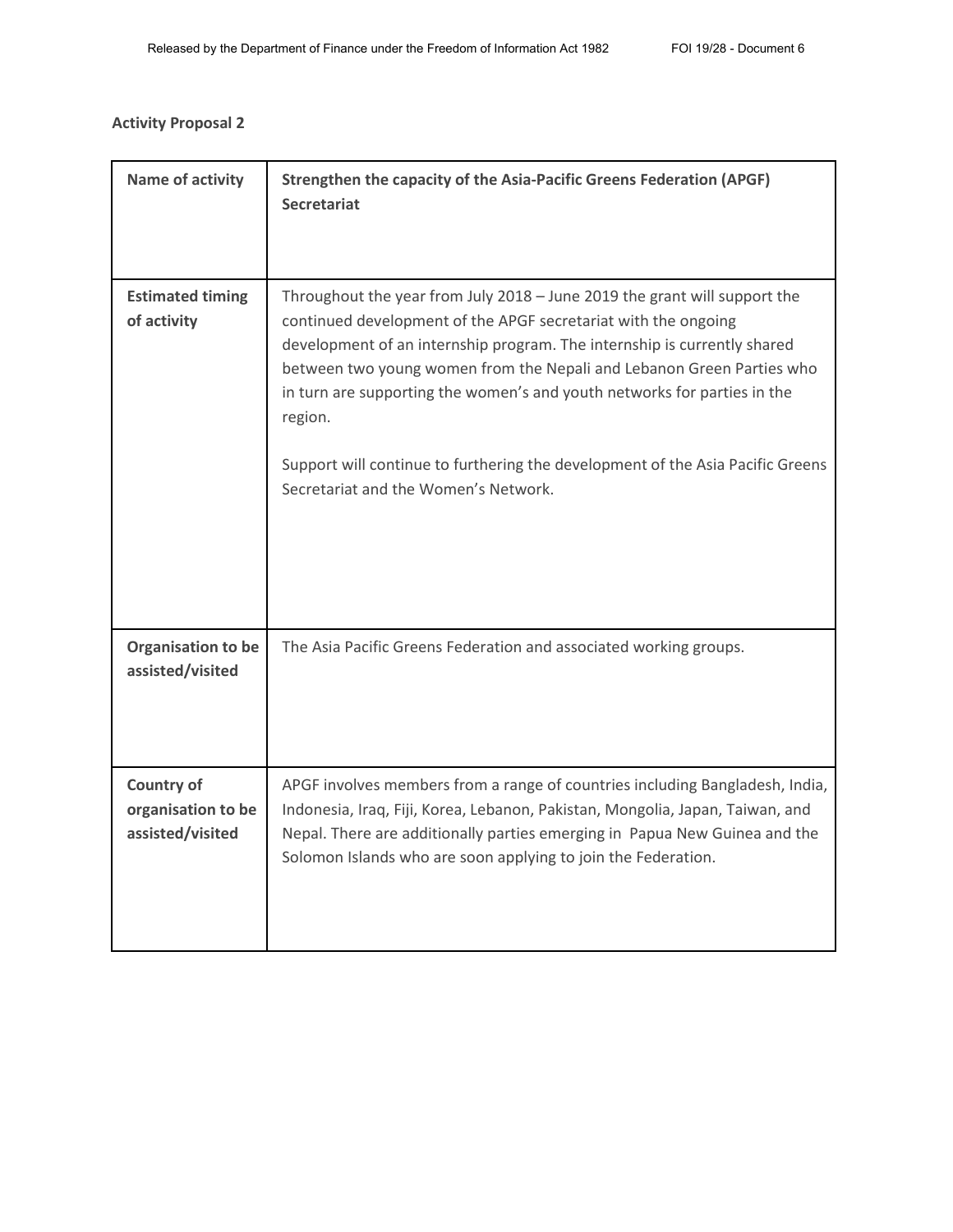# **Activity Proposal 2**

| Name of activity                                            | Strengthen the capacity of the Asia-Pacific Greens Federation (APGF)<br><b>Secretariat</b>                                                                                                                                                                                                                                                                                                                                                                                                                        |
|-------------------------------------------------------------|-------------------------------------------------------------------------------------------------------------------------------------------------------------------------------------------------------------------------------------------------------------------------------------------------------------------------------------------------------------------------------------------------------------------------------------------------------------------------------------------------------------------|
| <b>Estimated timing</b><br>of activity                      | Throughout the year from July 2018 - June 2019 the grant will support the<br>continued development of the APGF secretariat with the ongoing<br>development of an internship program. The internship is currently shared<br>between two young women from the Nepali and Lebanon Green Parties who<br>in turn are supporting the women's and youth networks for parties in the<br>region.<br>Support will continue to furthering the development of the Asia Pacific Greens<br>Secretariat and the Women's Network. |
| Organisation to be<br>assisted/visited                      | The Asia Pacific Greens Federation and associated working groups.                                                                                                                                                                                                                                                                                                                                                                                                                                                 |
| <b>Country of</b><br>organisation to be<br>assisted/visited | APGF involves members from a range of countries including Bangladesh, India,<br>Indonesia, Iraq, Fiji, Korea, Lebanon, Pakistan, Mongolia, Japan, Taiwan, and<br>Nepal. There are additionally parties emerging in Papua New Guinea and the<br>Solomon Islands who are soon applying to join the Federation.                                                                                                                                                                                                      |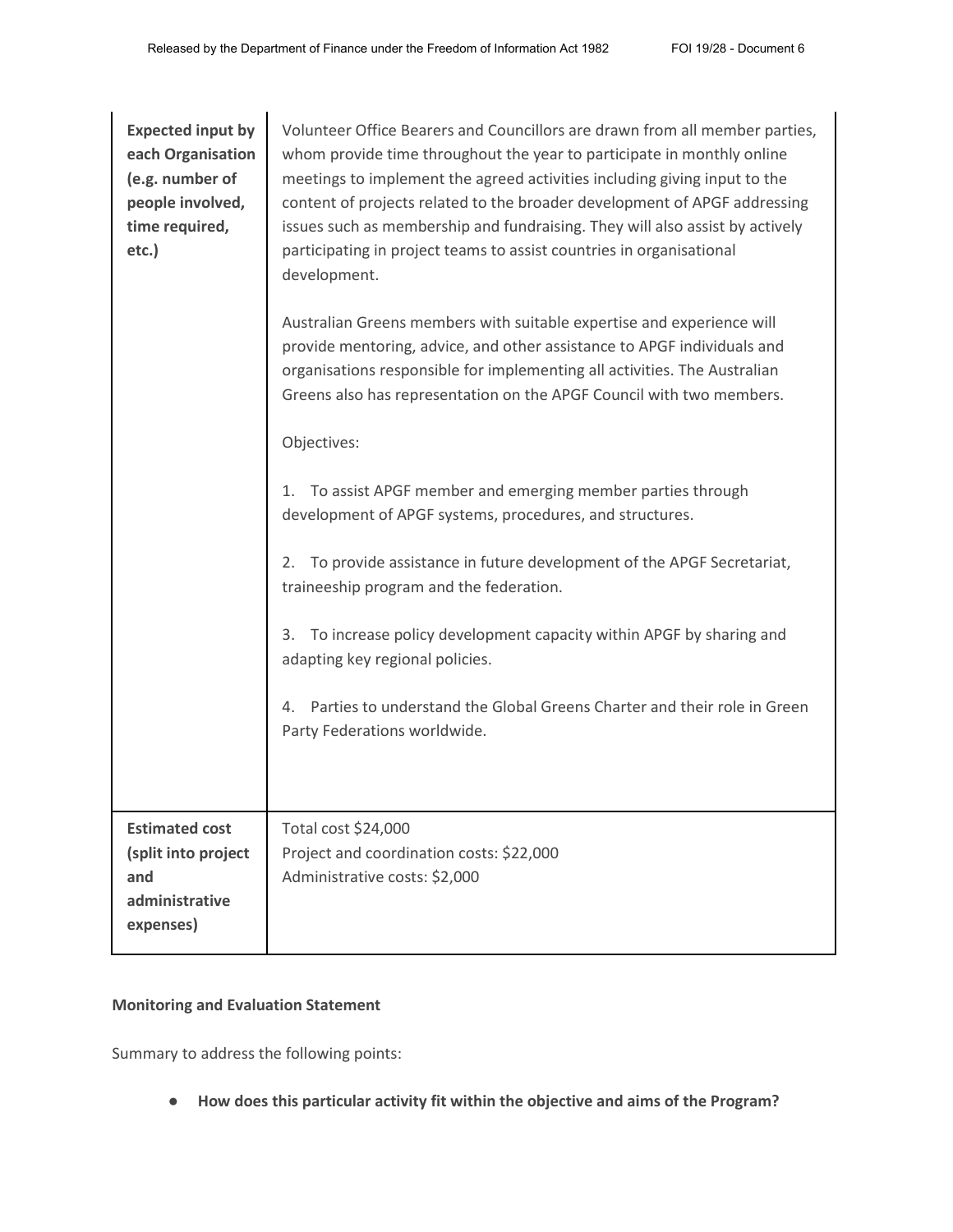| <b>Expected input by</b><br>each Organisation<br>(e.g. number of<br>people involved,<br>time required,<br>etc.) | Volunteer Office Bearers and Councillors are drawn from all member parties,<br>whom provide time throughout the year to participate in monthly online<br>meetings to implement the agreed activities including giving input to the<br>content of projects related to the broader development of APGF addressing<br>issues such as membership and fundraising. They will also assist by actively<br>participating in project teams to assist countries in organisational<br>development.<br>Australian Greens members with suitable expertise and experience will<br>provide mentoring, advice, and other assistance to APGF individuals and<br>organisations responsible for implementing all activities. The Australian<br>Greens also has representation on the APGF Council with two members.<br>Objectives:<br>To assist APGF member and emerging member parties through<br>1.<br>development of APGF systems, procedures, and structures.<br>To provide assistance in future development of the APGF Secretariat,<br>2.<br>traineeship program and the federation.<br>To increase policy development capacity within APGF by sharing and<br>3.<br>adapting key regional policies.<br>Parties to understand the Global Greens Charter and their role in Green<br>Party Federations worldwide. |
|-----------------------------------------------------------------------------------------------------------------|---------------------------------------------------------------------------------------------------------------------------------------------------------------------------------------------------------------------------------------------------------------------------------------------------------------------------------------------------------------------------------------------------------------------------------------------------------------------------------------------------------------------------------------------------------------------------------------------------------------------------------------------------------------------------------------------------------------------------------------------------------------------------------------------------------------------------------------------------------------------------------------------------------------------------------------------------------------------------------------------------------------------------------------------------------------------------------------------------------------------------------------------------------------------------------------------------------------------------------------------------------------------------------------------------|
|                                                                                                                 |                                                                                                                                                                                                                                                                                                                                                                                                                                                                                                                                                                                                                                                                                                                                                                                                                                                                                                                                                                                                                                                                                                                                                                                                                                                                                                   |
| <b>Estimated cost</b><br>(split into project<br>and<br>administrative<br>expenses)                              | Total cost \$24,000<br>Project and coordination costs: \$22,000<br>Administrative costs: \$2,000                                                                                                                                                                                                                                                                                                                                                                                                                                                                                                                                                                                                                                                                                                                                                                                                                                                                                                                                                                                                                                                                                                                                                                                                  |

# **Monitoring and Evaluation Statement**

Summary to address the following points:

● **How does this particular activity fit within the objective and aims of the Program?**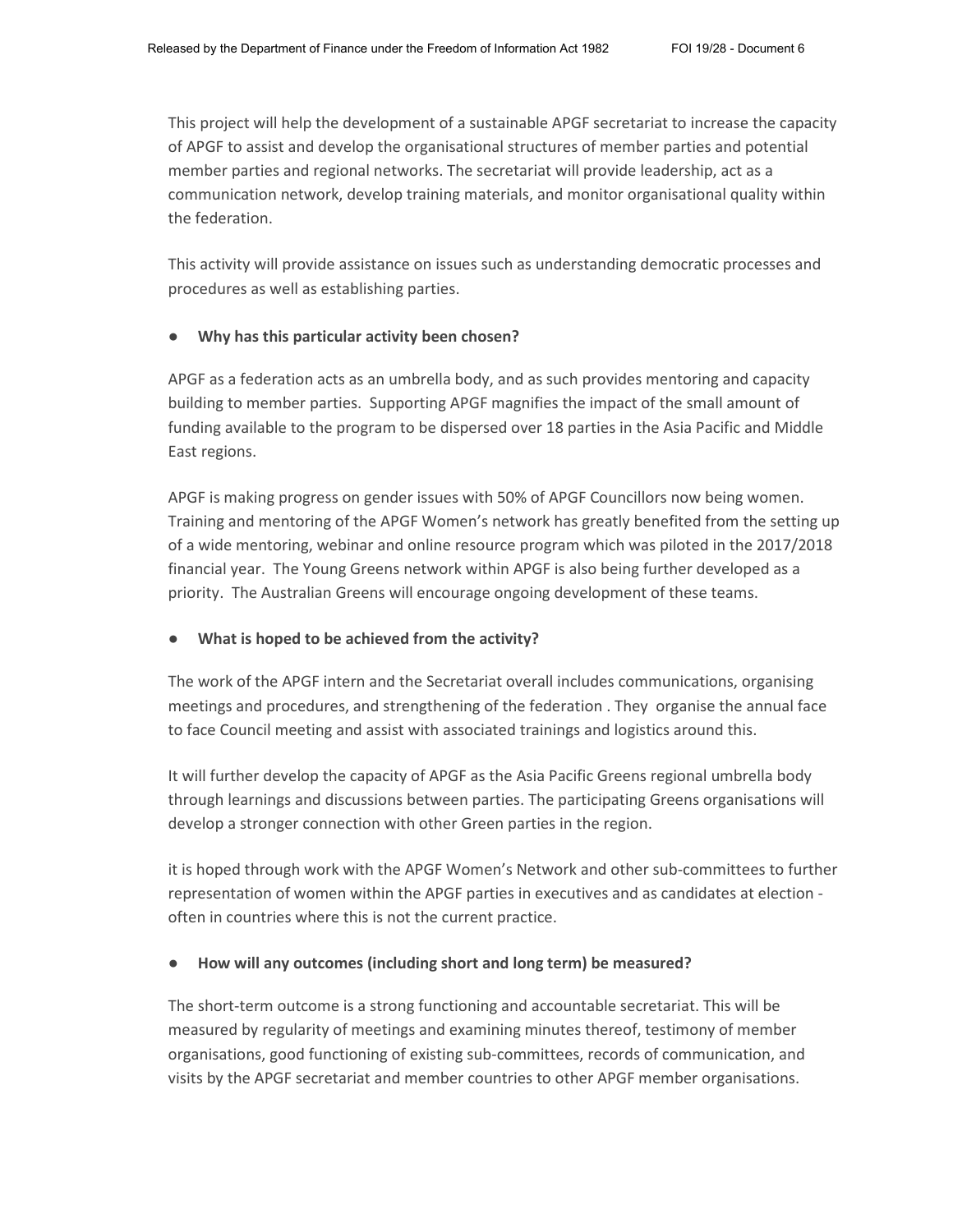This project will help the development of a sustainable APGF secretariat to increase the capacity of APGF to assist and develop the organisational structures of member parties and potential member parties and regional networks. The secretariat will provide leadership, act as a communication network, develop training materials, and monitor organisational quality within the federation.

This activity will provide assistance on issues such as understanding democratic processes and procedures as well as establishing parties.

### ● **Why has this particular activity been chosen?**

APGF as a federation acts as an umbrella body, and as such provides mentoring and capacity building to member parties. Supporting APGF magnifies the impact of the small amount of funding available to the program to be dispersed over 18 parties in the Asia Pacific and Middle East regions.

APGF is making progress on gender issues with 50% of APGF Councillors now being women. Training and mentoring of the APGF Women's network has greatly benefited from the setting up of a wide mentoring, webinar and online resource program which was piloted in the 2017/2018 financial year. The Young Greens network within APGF is also being further developed as a priority. The Australian Greens will encourage ongoing development of these teams.

## **What is hoped to be achieved from the activity?**

The work of the APGF intern and the Secretariat overall includes communications, organising meetings and procedures, and strengthening of the federation . They organise the annual face to face Council meeting and assist with associated trainings and logistics around this.

It will further develop the capacity of APGF as the Asia Pacific Greens regional umbrella body through learnings and discussions between parties. The participating Greens organisations will develop a stronger connection with other Green parties in the region.

it is hoped through work with the APGF Women's Network and other sub-committees to further representation of women within the APGF parties in executives and as candidates at election often in countries where this is not the current practice.

## ● **How will any outcomes (including short and long term) be measured?**

The short-term outcome is a strong functioning and accountable secretariat. This will be measured by regularity of meetings and examining minutes thereof, testimony of member organisations, good functioning of existing sub-committees, records of communication, and visits by the APGF secretariat and member countries to other APGF member organisations.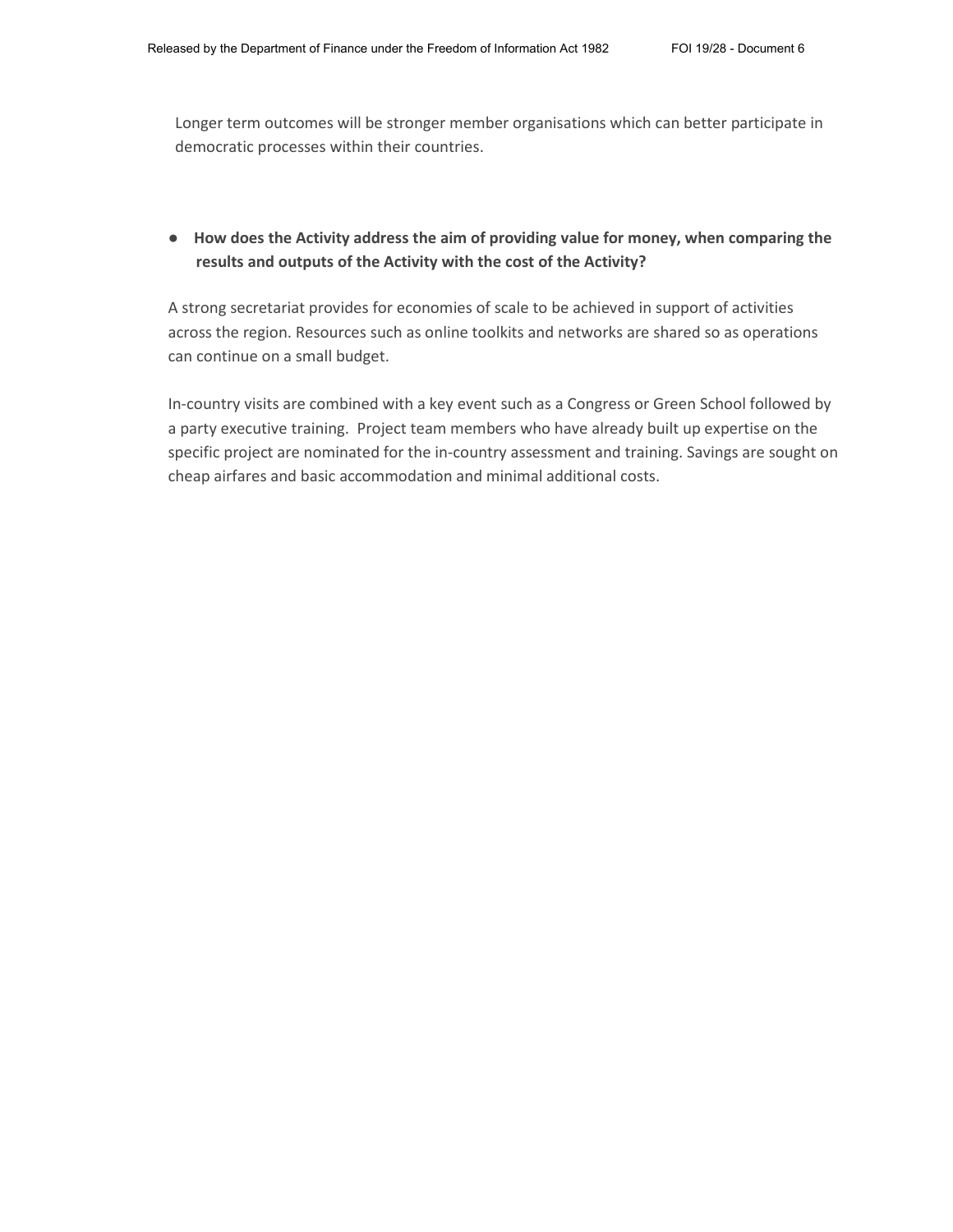Longer term outcomes will be stronger member organisations which can better participate in democratic processes within their countries.

## ● **How does the Activity address the aim of providing value for money, when comparing the results and outputs of the Activity with the cost of the Activity?**

A strong secretariat provides for economies of scale to be achieved in support of activities across the region. Resources such as online toolkits and networks are shared so as operations can continue on a small budget.

In-country visits are combined with a key event such as a Congress or Green School followed by a party executive training. Project team members who have already built up expertise on the specific project are nominated for the in-country assessment and training. Savings are sought on cheap airfares and basic accommodation and minimal additional costs.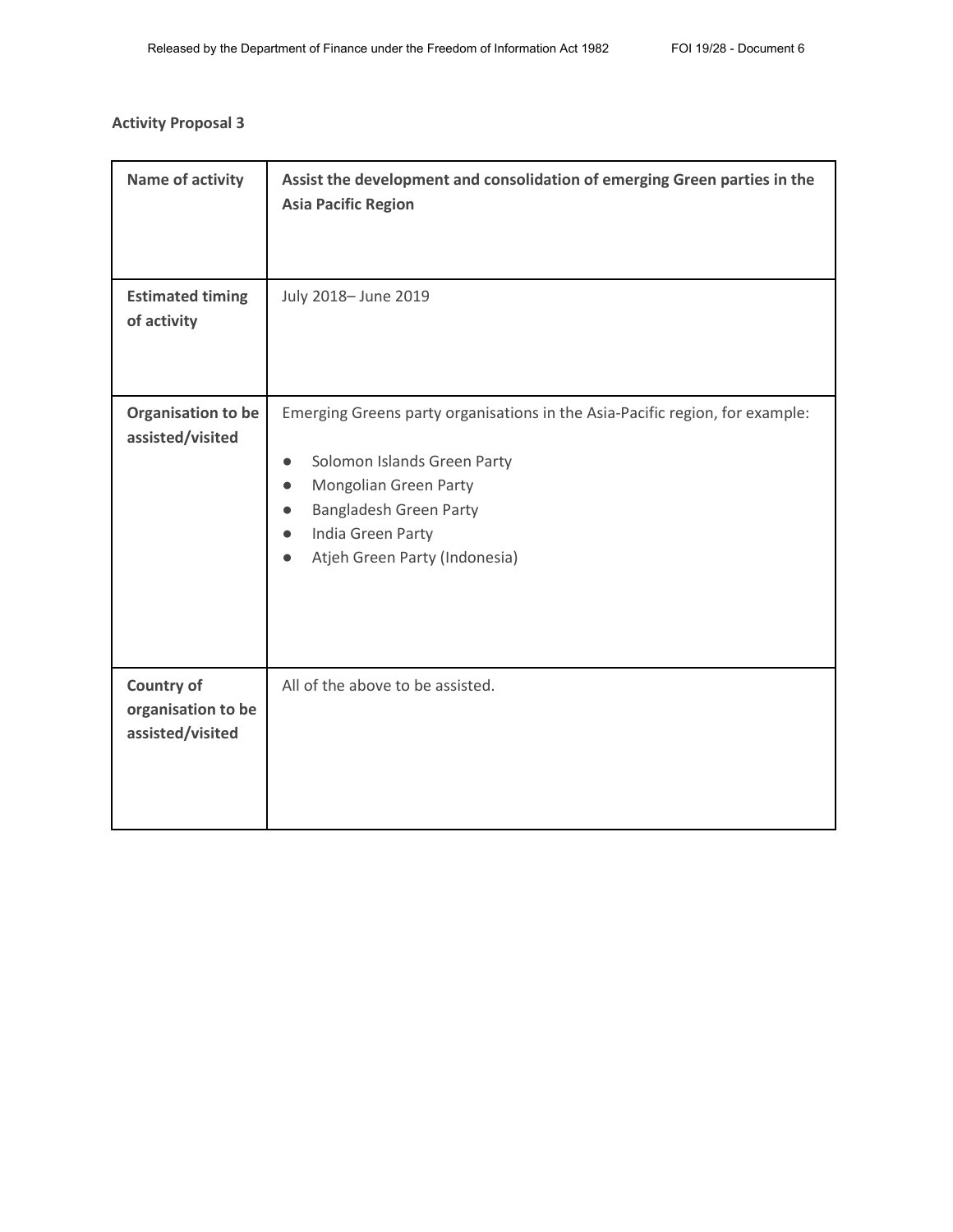# **Activity Proposal 3**

| <b>Name of activity</b>                                     | Assist the development and consolidation of emerging Green parties in the<br><b>Asia Pacific Region</b>                                                                                                                                        |
|-------------------------------------------------------------|------------------------------------------------------------------------------------------------------------------------------------------------------------------------------------------------------------------------------------------------|
| <b>Estimated timing</b><br>of activity                      | July 2018- June 2019                                                                                                                                                                                                                           |
| Organisation to be<br>assisted/visited                      | Emerging Greens party organisations in the Asia-Pacific region, for example:<br>Solomon Islands Green Party<br>$\bullet$<br>Mongolian Green Party<br>$\bullet$<br>Bangladesh Green Party<br>India Green Party<br>Atjeh Green Party (Indonesia) |
| <b>Country of</b><br>organisation to be<br>assisted/visited | All of the above to be assisted.                                                                                                                                                                                                               |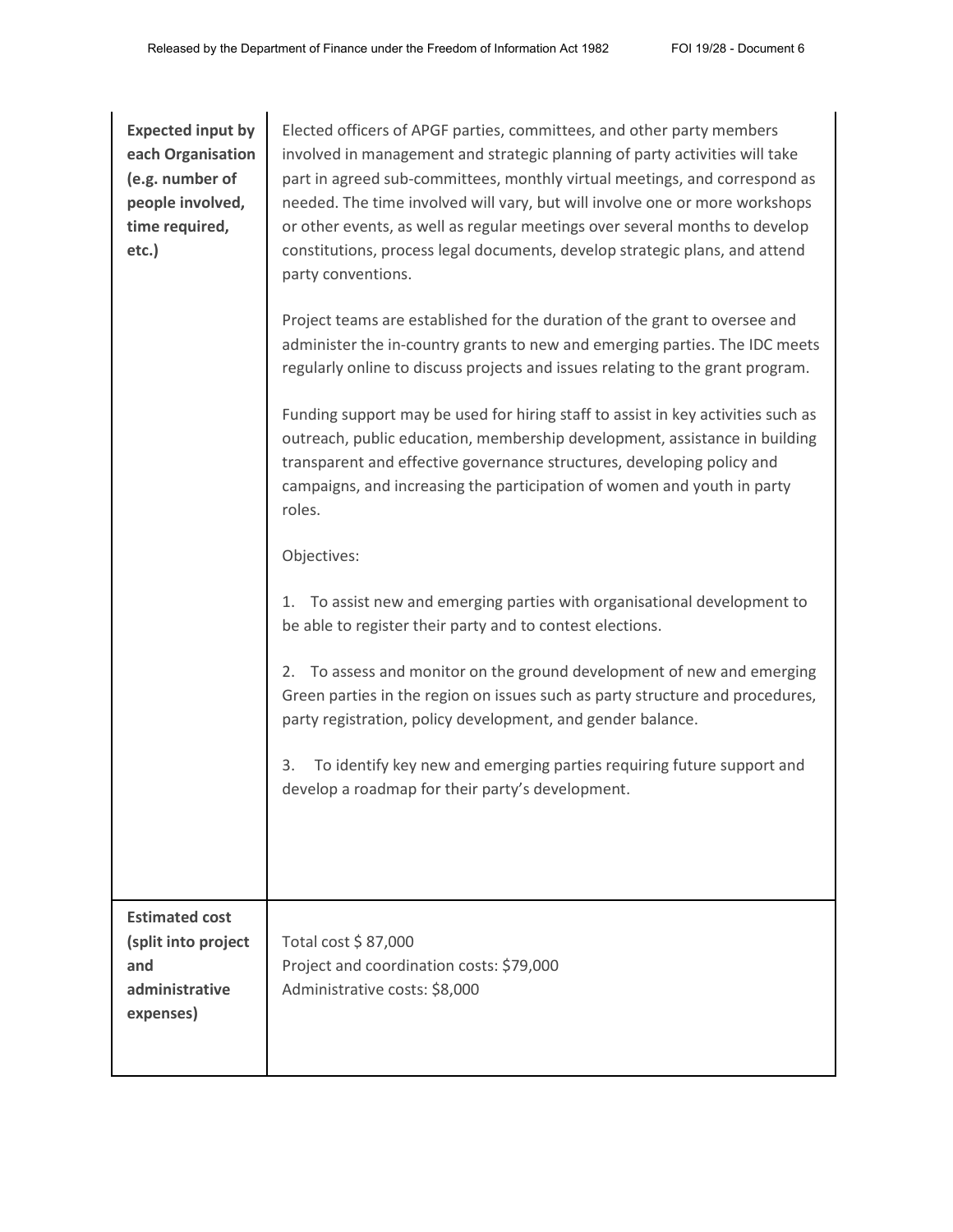| <b>Expected input by</b><br>each Organisation<br>(e.g. number of<br>people involved,<br>time required,<br>etc.) | Elected officers of APGF parties, committees, and other party members<br>involved in management and strategic planning of party activities will take<br>part in agreed sub-committees, monthly virtual meetings, and correspond as<br>needed. The time involved will vary, but will involve one or more workshops<br>or other events, as well as regular meetings over several months to develop<br>constitutions, process legal documents, develop strategic plans, and attend<br>party conventions.<br>Project teams are established for the duration of the grant to oversee and<br>administer the in-country grants to new and emerging parties. The IDC meets |
|-----------------------------------------------------------------------------------------------------------------|--------------------------------------------------------------------------------------------------------------------------------------------------------------------------------------------------------------------------------------------------------------------------------------------------------------------------------------------------------------------------------------------------------------------------------------------------------------------------------------------------------------------------------------------------------------------------------------------------------------------------------------------------------------------|
|                                                                                                                 | regularly online to discuss projects and issues relating to the grant program.<br>Funding support may be used for hiring staff to assist in key activities such as<br>outreach, public education, membership development, assistance in building<br>transparent and effective governance structures, developing policy and<br>campaigns, and increasing the participation of women and youth in party<br>roles.<br>Objectives:                                                                                                                                                                                                                                     |
|                                                                                                                 | To assist new and emerging parties with organisational development to<br>1.<br>be able to register their party and to contest elections.<br>To assess and monitor on the ground development of new and emerging<br>2.<br>Green parties in the region on issues such as party structure and procedures,<br>party registration, policy development, and gender balance.<br>To identify key new and emerging parties requiring future support and<br>3.<br>develop a roadmap for their party's development.                                                                                                                                                           |
| <b>Estimated cost</b><br>(split into project<br>and<br>administrative<br>expenses)                              | Total cost \$87,000<br>Project and coordination costs: \$79,000<br>Administrative costs: \$8,000                                                                                                                                                                                                                                                                                                                                                                                                                                                                                                                                                                   |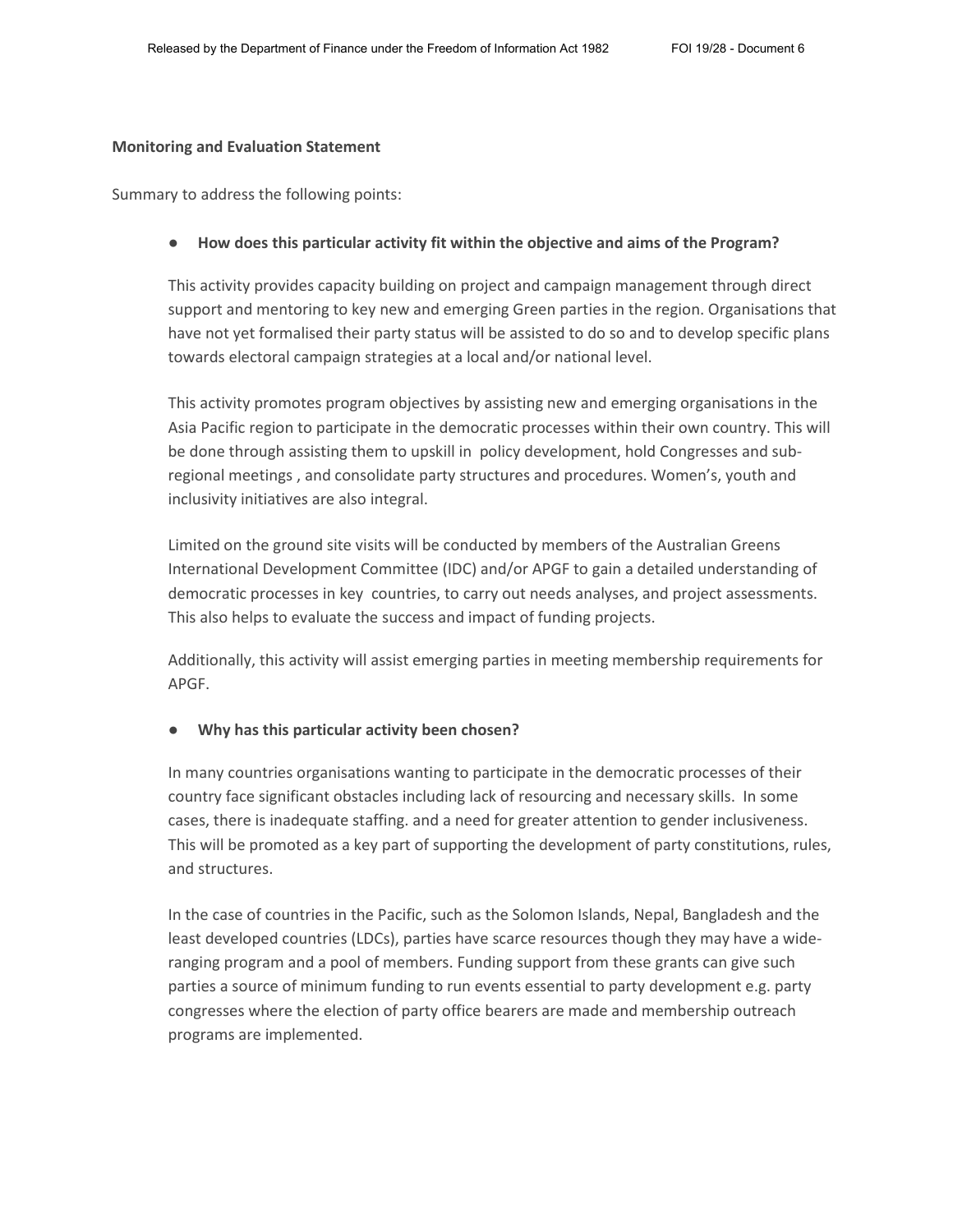#### **Monitoring and Evaluation Statement**

Summary to address the following points:

#### ● **How does this particular activity fit within the objective and aims of the Program?**

This activity provides capacity building on project and campaign management through direct support and mentoring to key new and emerging Green parties in the region. Organisations that have not yet formalised their party status will be assisted to do so and to develop specific plans towards electoral campaign strategies at a local and/or national level.

This activity promotes program objectives by assisting new and emerging organisations in the Asia Pacific region to participate in the democratic processes within their own country. This will be done through assisting them to upskill in policy development, hold Congresses and subregional meetings , and consolidate party structures and procedures. Women's, youth and inclusivity initiatives are also integral.

Limited on the ground site visits will be conducted by members of the Australian Greens International Development Committee (IDC) and/or APGF to gain a detailed understanding of democratic processes in key countries, to carry out needs analyses, and project assessments. This also helps to evaluate the success and impact of funding projects.

Additionally, this activity will assist emerging parties in meeting membership requirements for APGF.

#### ● **Why has this particular activity been chosen?**

In many countries organisations wanting to participate in the democratic processes of their country face significant obstacles including lack of resourcing and necessary skills. In some cases, there is inadequate staffing. and a need for greater attention to gender inclusiveness. This will be promoted as a key part of supporting the development of party constitutions, rules, and structures.

In the case of countries in the Pacific, such as the Solomon Islands, Nepal, Bangladesh and the least developed countries (LDCs), parties have scarce resources though they may have a wideranging program and a pool of members. Funding support from these grants can give such parties a source of minimum funding to run events essential to party development e.g. party congresses where the election of party office bearers are made and membership outreach programs are implemented.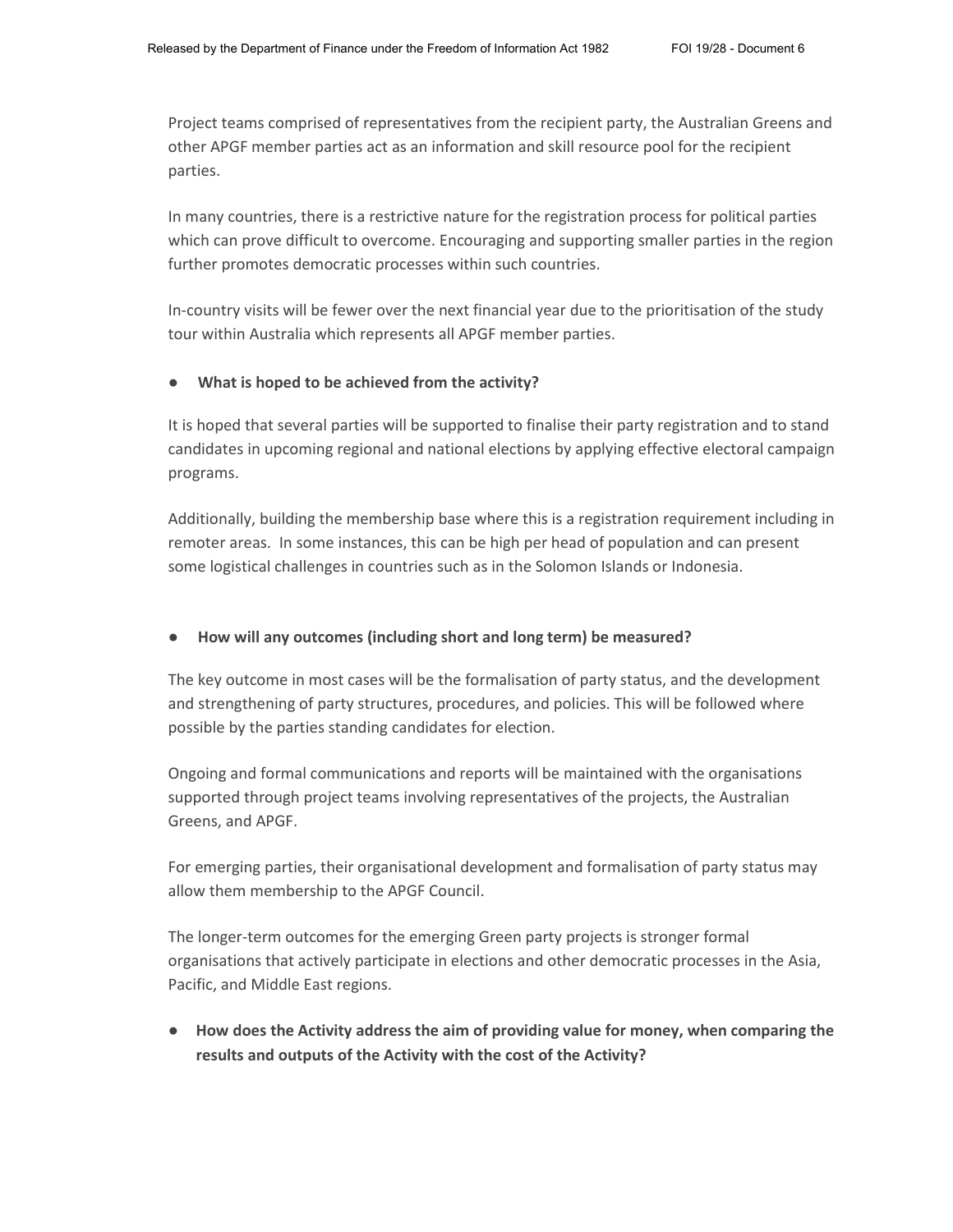Project teams comprised of representatives from the recipient party, the Australian Greens and other APGF member parties act as an information and skill resource pool for the recipient parties.

In many countries, there is a restrictive nature for the registration process for political parties which can prove difficult to overcome. Encouraging and supporting smaller parties in the region further promotes democratic processes within such countries.

In-country visits will be fewer over the next financial year due to the prioritisation of the study tour within Australia which represents all APGF member parties.

### ● **What is hoped to be achieved from the activity?**

It is hoped that several parties will be supported to finalise their party registration and to stand candidates in upcoming regional and national elections by applying effective electoral campaign programs.

Additionally, building the membership base where this is a registration requirement including in remoter areas. In some instances, this can be high per head of population and can present some logistical challenges in countries such as in the Solomon Islands or Indonesia.

### ● **How will any outcomes (including short and long term) be measured?**

The key outcome in most cases will be the formalisation of party status, and the development and strengthening of party structures, procedures, and policies. This will be followed where possible by the parties standing candidates for election.

Ongoing and formal communications and reports will be maintained with the organisations supported through project teams involving representatives of the projects, the Australian Greens, and APGF.

For emerging parties, their organisational development and formalisation of party status may allow them membership to the APGF Council.

The longer-term outcomes for the emerging Green party projects is stronger formal organisations that actively participate in elections and other democratic processes in the Asia, Pacific, and Middle East regions.

● **How does the Activity address the aim of providing value for money, when comparing the results and outputs of the Activity with the cost of the Activity?**